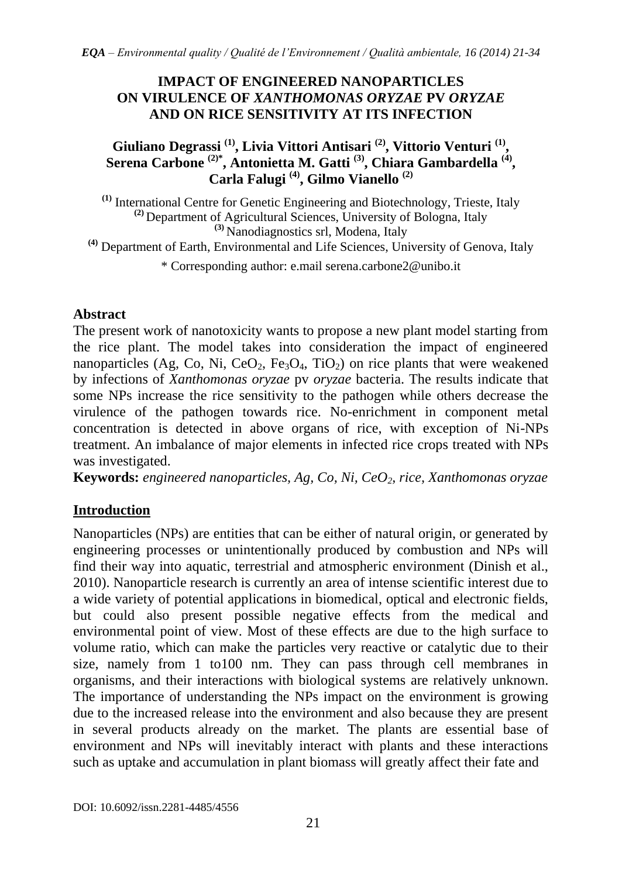#### **IMPACT OF ENGINEERED NANOPARTICLES ON VIRULENCE OF** *XANTHOMONAS ORYZAE* **PV** *ORYZAE* **AND ON RICE SENSITIVITY AT ITS INFECTION**

## **Giuliano Degrassi (1), Livia Vittori Antisari (2), Vittorio Venturi (1) , Serena Carbone (2)\*, Antonietta M. Gatti (3), Chiara Gambardella (4) , Carla Falugi (4), Gilmo Vianello (2)**

**(1)** International Centre for Genetic Engineering and Biotechnology, Trieste, Italy **(2)** Department of Agricultural Sciences, University of Bologna, Italy **(3)** Nanodiagnostics srl, Modena, Italy

**(4)** Department of Earth, Environmental and Life Sciences, University of Genova, Italy

\* Corresponding author: e.mail serena.carbone2@unibo.it

## **Abstract**

The present work of nanotoxicity wants to propose a new plant model starting from the rice plant. The model takes into consideration the impact of engineered nanoparticles (Ag, Co, Ni, CeO<sub>2</sub>, Fe<sub>3</sub>O<sub>4</sub>, TiO<sub>2</sub>) on rice plants that were weakened by infections of *Xanthomonas oryzae* pv *oryzae* bacteria. The results indicate that some NPs increase the rice sensitivity to the pathogen while others decrease the virulence of the pathogen towards rice. No-enrichment in component metal concentration is detected in above organs of rice, with exception of Ni-NPs treatment. An imbalance of major elements in infected rice crops treated with NPs was investigated.

**Keywords:** *engineered nanoparticles, Ag, Co, Ni, CeO2, rice, Xanthomonas oryzae*

# **Introduction**

Nanoparticles (NPs) are entities that can be either of natural origin, or generated by engineering processes or unintentionally produced by combustion and NPs will find their way into aquatic, terrestrial and atmospheric environment (Dinish et al., 2010). Nanoparticle research is currently an area of intense scientific interest due to a wide variety of potential applications in biomedical, optical and electronic fields, but could also present possible negative effects from the medical and environmental point of view. Most of these effects are due to the high surface to volume ratio, which can make the particles very reactive or catalytic due to their size, namely from 1 to100 nm. They can pass through cell membranes in organisms, and their interactions with biological systems are relatively unknown. The importance of understanding the NPs impact on the environment is growing due to the increased release into the environment and also because they are present in several products already on the market. The plants are essential base of environment and NPs will inevitably interact with plants and these interactions such as uptake and accumulation in plant biomass will greatly affect their fate and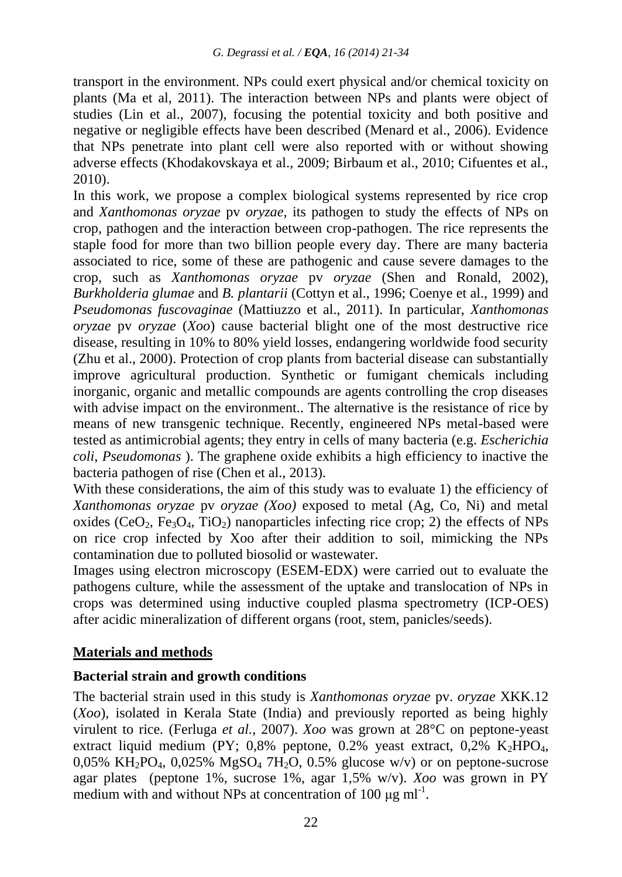transport in the environment. NPs could exert physical and/or chemical toxicity on plants (Ma et al, 2011). The interaction between NPs and plants were object of studies (Lin et al., 2007), focusing the potential toxicity and both positive and negative or negligible effects have been described (Menard et al., 2006). Evidence that NPs penetrate into plant cell were also reported with or without showing adverse effects (Khodakovskaya et al., 2009; Birbaum et al., 2010; Cifuentes et al., 2010).

In this work, we propose a complex biological systems represented by rice crop and *Xanthomonas oryzae* pv *oryzae,* its pathogen to study the effects of NPs on crop, pathogen and the interaction between crop-pathogen. The rice represents the staple food for more than two billion people every day. There are many bacteria associated to rice, some of these are pathogenic and cause severe damages to the crop, such as *Xanthomonas oryzae* pv *oryzae* (Shen and Ronald, 2002), *Burkholderia glumae* and *B. plantarii* (Cottyn et al., 1996; Coenye et al., 1999) and *Pseudomonas fuscovaginae* (Mattiuzzo et al., 2011). In particular, *Xanthomonas oryzae* pv *oryzae* (*Xoo*) cause bacterial blight one of the most destructive rice disease, resulting in 10% to 80% yield losses, endangering worldwide food security (Zhu et al., 2000). Protection of crop plants from bacterial disease can substantially improve agricultural production. Synthetic or fumigant chemicals including inorganic, organic and metallic compounds are agents controlling the crop diseases with advise impact on the environment.. The alternative is the resistance of rice by means of new transgenic technique. Recently, engineered NPs metal-based were tested as antimicrobial agents; they entry in cells of many bacteria (e.g. *Escherichia coli*, *Pseudomonas* ). The graphene oxide exhibits a high efficiency to inactive the bacteria pathogen of rise (Chen et al., 2013).

With these considerations, the aim of this study was to evaluate 1) the efficiency of *Xanthomonas oryzae* pv *oryzae (Xoo)* exposed to metal (Ag, Co, Ni) and metal oxides (CeO<sub>2</sub>, Fe<sub>3</sub>O<sub>4</sub>, TiO<sub>2</sub>) nanoparticles infecting rice crop; 2) the effects of NPs on rice crop infected by Xoo after their addition to soil, mimicking the NPs contamination due to polluted biosolid or wastewater.

Images using electron microscopy (ESEM-EDX) were carried out to evaluate the pathogens culture, while the assessment of the uptake and translocation of NPs in crops was determined using inductive coupled plasma spectrometry (ICP-OES) after acidic mineralization of different organs (root, stem, panicles/seeds).

## **Materials and methods**

## **Bacterial strain and growth conditions**

The bacterial strain used in this study is *Xanthomonas oryzae* pv. *oryzae* XKK.12 (*Xoo*), isolated in Kerala State (India) and previously reported as being highly virulent to rice*.* (Ferluga *et al.*, 2007). *Xoo* was grown at 28°C on peptone-yeast extract liquid medium (PY;  $0.8\%$  peptone,  $0.2\%$  yeast extract,  $0.2\%$  K<sub>2</sub>HPO<sub>4</sub>, 0,05% KH<sub>2</sub>PO<sub>4</sub>, 0,025% MgSO<sub>4</sub> 7H<sub>2</sub>O, 0.5% glucose w/v) or on peptone-sucrose agar plates (peptone 1%, sucrose 1%, agar 1,5% w/v). *Xoo* was grown in PY medium with and without NPs at concentration of 100  $\mu$ g ml<sup>-1</sup>.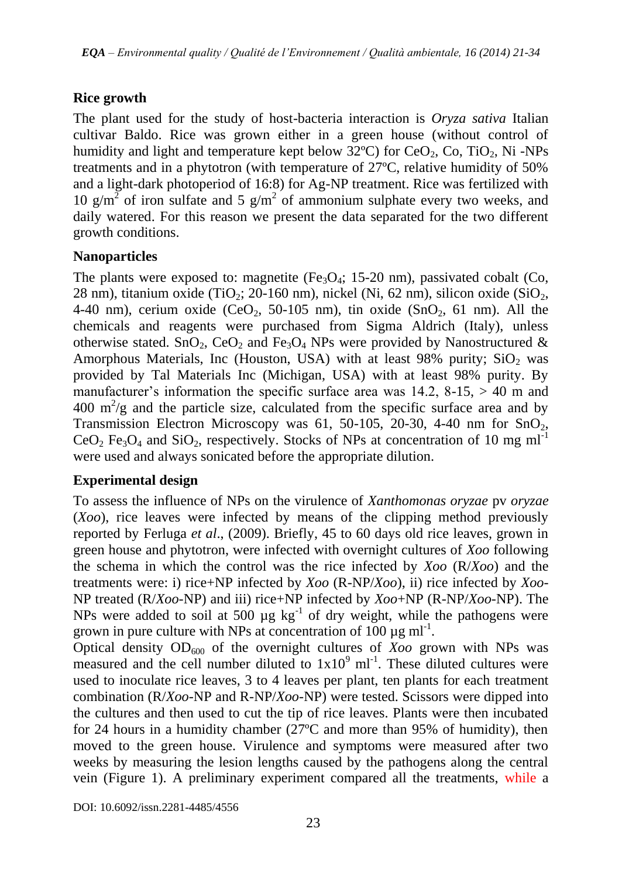## **Rice growth**

The plant used for the study of host-bacteria interaction is *Oryza sativa* Italian cultivar Baldo. Rice was grown either in a green house (without control of humidity and light and temperature kept below  $32^{\circ}$ C) for CeO<sub>2</sub>, Co, TiO<sub>2</sub>, Ni -NPs treatments and in a phytotron (with temperature of 27ºC, relative humidity of 50% and a light-dark photoperiod of 16:8) for Ag-NP treatment. Rice was fertilized with 10 g/m<sup>2</sup> of iron sulfate and 5 g/m<sup>2</sup> of ammonium sulphate every two weeks, and daily watered. For this reason we present the data separated for the two different growth conditions.

## **Nanoparticles**

The plants were exposed to: magnetite (Fe<sub>3</sub>O<sub>4</sub>; 15-20 nm), passivated cobalt (Co, 28 nm), titanium oxide (TiO<sub>2</sub>; 20-160 nm), nickel (Ni, 62 nm), silicon oxide (SiO<sub>2</sub>, 4-40 nm), cerium oxide (CeO<sub>2</sub>, 50-105 nm), tin oxide (SnO<sub>2</sub>, 61 nm). All the chemicals and reagents were purchased from Sigma Aldrich (Italy), unless otherwise stated. SnO<sub>2</sub>, CeO<sub>2</sub> and Fe<sub>3</sub>O<sub>4</sub> NPs were provided by Nanostructured & Amorphous Materials, Inc (Houston, USA) with at least 98% purity;  $SiO<sub>2</sub>$  was provided by Tal Materials Inc (Michigan, USA) with at least 98% purity. By manufacturer's information the specific surface area was  $14.2$ ,  $8-15$ ,  $> 40$  m and  $400 \text{ m}^2/\text{g}$  and the particle size, calculated from the specific surface area and by Transmission Electron Microscopy was 61, 50-105, 20-30, 4-40 nm for  $SnO<sub>2</sub>$ ,  $CeO<sub>2</sub> Fe<sub>3</sub>O<sub>4</sub>$  and SiO<sub>2</sub>, respectively. Stocks of NPs at concentration of 10 mg ml<sup>-1</sup> were used and always sonicated before the appropriate dilution.

## **Experimental design**

To assess the influence of NPs on the virulence of *Xanthomonas oryzae* pv *oryzae* (*Xoo*), rice leaves were infected by means of the clipping method previously reported by Ferluga *et al*., (2009). Briefly, 45 to 60 days old rice leaves, grown in green house and phytotron, were infected with overnight cultures of *Xoo* following the schema in which the control was the rice infected by *Xoo* (R/*Xoo*) and the treatments were: i) rice+NP infected by *Xoo* (R-NP/*Xoo*), ii) rice infected by *Xoo*-NP treated (R/*Xoo*-NP) and iii) rice+NP infected by *Xoo*+NP (R-NP/*Xoo*-NP). The NPs were added to soil at 500  $\mu$ g kg<sup>-1</sup> of dry weight, while the pathogens were grown in pure culture with NPs at concentration of  $100 \mu g$  ml<sup>-1</sup>.

Optical density  $OD_{600}$  of the overnight cultures of *Xoo* grown with NPs was measured and the cell number diluted to  $1x10<sup>9</sup>$  ml<sup>-1</sup>. These diluted cultures were used to inoculate rice leaves, 3 to 4 leaves per plant, ten plants for each treatment combination (R/*Xoo*-NP and R-NP/*Xoo*-NP) were tested. Scissors were dipped into the cultures and then used to cut the tip of rice leaves. Plants were then incubated for 24 hours in a humidity chamber (27ºC and more than 95% of humidity), then moved to the green house. Virulence and symptoms were measured after two weeks by measuring the lesion lengths caused by the pathogens along the central vein (Figure 1). A preliminary experiment compared all the treatments, while a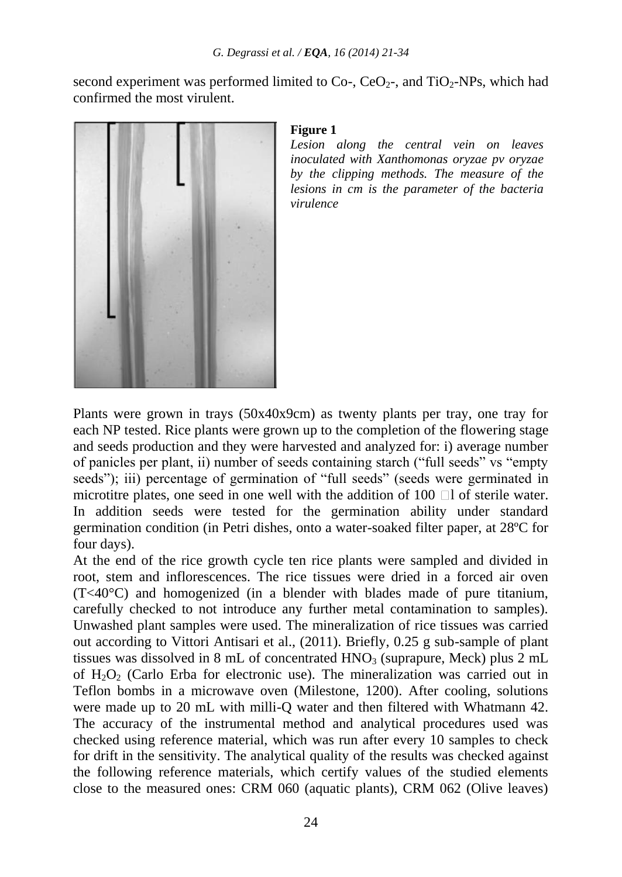second experiment was performed limited to Co-, CeO<sub>2</sub>-, and TiO<sub>2</sub>-NPs, which had confirmed the most virulent.



#### **Figure 1**

*Lesion along the central vein on leaves inoculated with Xanthomonas oryzae pv oryzae by the clipping methods. The measure of the lesions in cm is the parameter of the bacteria virulence*

Plants were grown in trays (50x40x9cm) as twenty plants per tray, one tray for each NP tested. Rice plants were grown up to the completion of the flowering stage and seeds production and they were harvested and analyzed for: i) average number of panicles per plant, ii) number of seeds containing starch ("full seeds" vs "empty seeds"); iii) percentage of germination of "full seeds" (seeds were germinated in microtitre plates, one seed in one well with the addition of  $100$   $\Box$  of sterile water. In addition seeds were tested for the germination ability under standard germination condition (in Petri dishes, onto a water-soaked filter paper, at 28ºC for four days).

At the end of the rice growth cycle ten rice plants were sampled and divided in root, stem and inflorescences. The rice tissues were dried in a forced air oven (T<40°C) and homogenized (in a blender with blades made of pure titanium, carefully checked to not introduce any further metal contamination to samples). Unwashed plant samples were used. The mineralization of rice tissues was carried out according to Vittori Antisari et al., (2011). Briefly, 0.25 g sub-sample of plant tissues was dissolved in 8 mL of concentrated  $HNO<sub>3</sub>$  (suprapure, Meck) plus 2 mL of  $H_2O_2$  (Carlo Erba for electronic use). The mineralization was carried out in Teflon bombs in a microwave oven (Milestone, 1200). After cooling, solutions were made up to 20 mL with milli-Q water and then filtered with Whatmann 42. The accuracy of the instrumental method and analytical procedures used was checked using reference material, which was run after every 10 samples to check for drift in the sensitivity. The analytical quality of the results was checked against the following reference materials, which certify values of the studied elements close to the measured ones: CRM 060 (aquatic plants), CRM 062 (Olive leaves)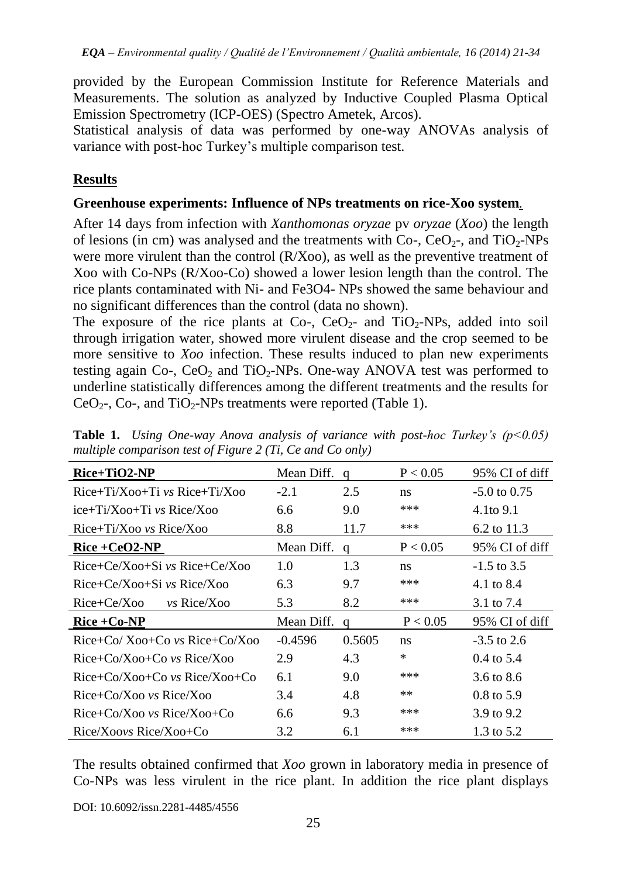provided by the European Commission Institute for Reference Materials and Measurements. The solution as analyzed by Inductive Coupled Plasma Optical Emission Spectrometry (ICP-OES) (Spectro Ametek, Arcos).

Statistical analysis of data was performed by one-way ANOVAs analysis of variance with post-hoc Turkey"s multiple comparison test.

## **Results**

#### **Greenhouse experiments: Influence of NPs treatments on rice-Xoo system***.*

After 14 days from infection with *Xanthomonas oryzae* pv *oryzae* (*Xoo*) the length of lesions (in cm) was analysed and the treatments with  $Co$ -,  $CoO<sub>2</sub>$ -, and  $TiO<sub>2</sub>$ -NPs were more virulent than the control (R/Xoo), as well as the preventive treatment of Xoo with Co-NPs (R/Xoo-Co) showed a lower lesion length than the control. The rice plants contaminated with Ni- and Fe3O4- NPs showed the same behaviour and no significant differences than the control (data no shown).

The exposure of the rice plants at Co-,  $CeO<sub>2</sub>$ - and TiO<sub>2</sub>-NPs, added into soil through irrigation water, showed more virulent disease and the crop seemed to be more sensitive to *Xoo* infection. These results induced to plan new experiments testing again Co-, CeO<sub>2</sub> and TiO<sub>2</sub>-NPs. One-way ANOVA test was performed to underline statistically differences among the different treatments and the results for CeO<sub>2</sub>-, Co-, and TiO<sub>2</sub>-NPs treatments were reported (Table 1).

| $Rice+TiO2-NP$                       | Mean Diff. | a      | P < 0.05 | 95% CI of diff        |
|--------------------------------------|------------|--------|----------|-----------------------|
| $Rice+Ti/Xoo+Ti$ vs $Rice+Ti/Xoo$    | $-2.1$     | 2.5    | ns       | $-5.0$ to 0.75        |
| $ice+Ti/Xoo+Ti$ vs Rice/Xoo          | 6.6        | 9.0    | ***      | 4.1to 9.1             |
| $Rice+Ti/X$ oo vs $Rice/X$ oo        | 8.8        | 11.7   | ***      | 6.2 to $11.3$         |
| $Rice + CeO2-NP$                     | Mean Diff. | a      | P < 0.05 | 95% CI of diff        |
| $Rice+Ce/Xoo+Si$ vs $Rice+Ce/Xoo$    | 1.0        | 1.3    | ns       | $-1.5$ to 3.5         |
| $Rice+Ce/Xoo+Si$ vs $Rice/Xoo$       | 6.3        | 9.7    | ***      | 4.1 to 8.4            |
| $Rice+Ce/Xoo$<br>$vs$ Rice/X00       | 5.3        | 8.2    | ***      | 3.1 to 7.4            |
| $Rice + Co-NP$                       | Mean Diff. | a      | P < 0.05 | 95% CI of diff        |
| $Rice+C_0/Xoo+C_0$ vs $Rice+C_0/Xoo$ | $-0.4596$  | 0.5605 | ns       | $-3.5$ to 2.6         |
| $Rice+Co/Xoo+Co$ vs $Rice/Xoo$       | 2.9        | 4.3    | $\ast$   | $0.4 \text{ to } 5.4$ |
| $Rice+Co/Xoo+Co$ vs $Rice/Xoo+Co$    | 6.1        | 9.0    | ***      | 3.6 to 8.6            |
| $Rice+Co/Xoo$ vs $Rice/Xoo$          | 3.4        | 4.8    | $**$     | $0.8 \text{ to } 5.9$ |
| $Rice+Co/Xoo$ vs $Rice/Xoo+Co$       | 6.6        | 9.3    | ***      | 3.9 to 9.2            |
| Rice/Xoovs Rice/Xoo+Co               | 3.2        | 6.1    | $***$    | 1.3 to 5.2            |

**Table 1.** *Using One-way Anova analysis of variance with post-hoc Turkey's (p<0.05) multiple comparison test of Figure 2 (Ti, Ce and Co only)*

The results obtained confirmed that *Xoo* grown in laboratory media in presence of Co-NPs was less virulent in the rice plant. In addition the rice plant displays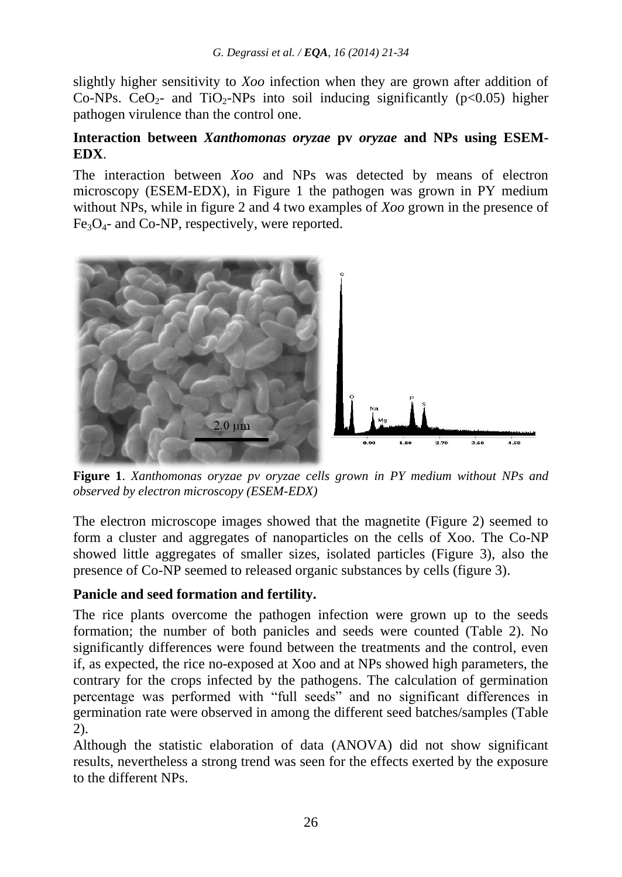slightly higher sensitivity to *Xoo* infection when they are grown after addition of Co-NPs. CeO<sub>2</sub>- and TiO<sub>2</sub>-NPs into soil inducing significantly ( $p<0.05$ ) higher pathogen virulence than the control one.

#### **Interaction between** *Xanthomonas oryzae* **pv** *oryzae* **and NPs using ESEM-EDX**.

The interaction between *Xoo* and NPs was detected by means of electron microscopy (ESEM-EDX), in Figure 1 the pathogen was grown in PY medium without NPs, while in figure 2 and 4 two examples of *Xoo* grown in the presence of  $Fe<sub>3</sub>O<sub>4</sub>$ - and Co-NP, respectively, were reported.



**Figure 1**. *Xanthomonas oryzae pv oryzae cells grown in PY medium without NPs and observed by electron microscopy (ESEM-EDX)*

The electron microscope images showed that the magnetite (Figure 2) seemed to form a cluster and aggregates of nanoparticles on the cells of Xoo. The Co-NP showed little aggregates of smaller sizes, isolated particles (Figure 3), also the presence of Co-NP seemed to released organic substances by cells (figure 3).

## **Panicle and seed formation and fertility.**

The rice plants overcome the pathogen infection were grown up to the seeds formation; the number of both panicles and seeds were counted (Table 2). No significantly differences were found between the treatments and the control, even if, as expected, the rice no-exposed at Xoo and at NPs showed high parameters, the contrary for the crops infected by the pathogens. The calculation of germination percentage was performed with "full seeds" and no significant differences in germination rate were observed in among the different seed batches/samples (Table 2).

Although the statistic elaboration of data (ANOVA) did not show significant results, nevertheless a strong trend was seen for the effects exerted by the exposure to the different NPs.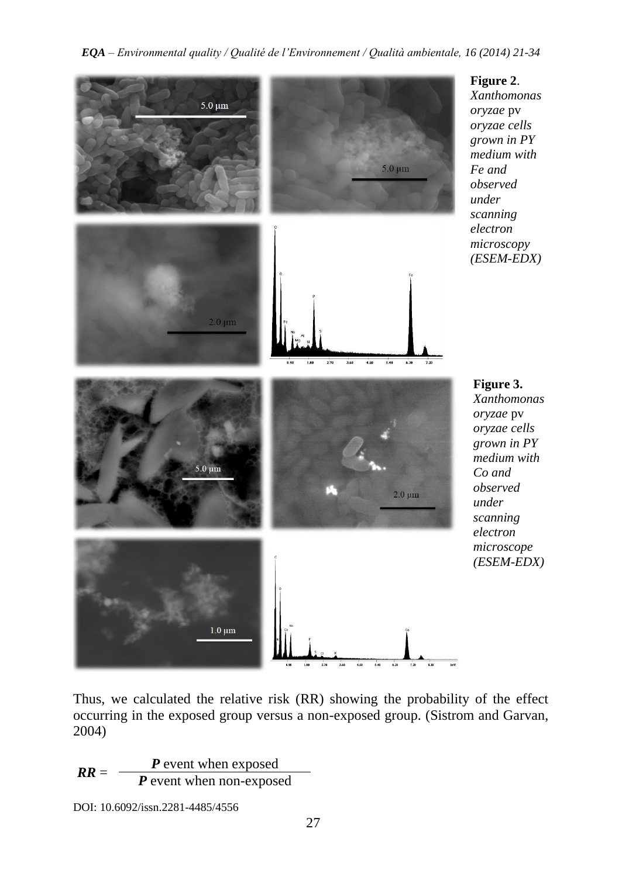

Thus, we calculated the relative risk (RR) showing the probability of the effect occurring in the exposed group versus a non-exposed group. (Sistrom and Garvan, 2004)

$$
RR = \frac{P \text{ event when exposed}}{P \text{ event when non-exposed}}
$$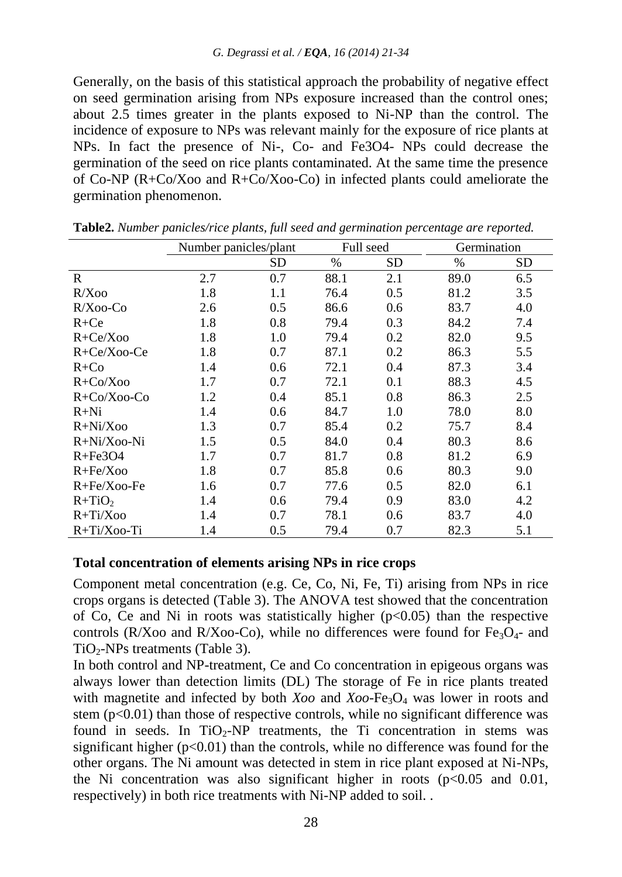Generally, on the basis of this statistical approach the probability of negative effect on seed germination arising from NPs exposure increased than the control ones; about 2.5 times greater in the plants exposed to Ni-NP than the control. The incidence of exposure to NPs was relevant mainly for the exposure of rice plants at NPs. In fact the presence of Ni-, Co- and Fe3O4- NPs could decrease the germination of the seed on rice plants contaminated. At the same time the presence of Co-NP (R+Co/Xoo and R+Co/Xoo-Co) in infected plants could ameliorate the germination phenomenon.

|                  | Number panicles/plant |           | Full seed |     | Germination |     |
|------------------|-----------------------|-----------|-----------|-----|-------------|-----|
|                  |                       | <b>SD</b> | $\%$      | SD  | $\%$        | SD  |
| R                | 2.7                   | 0.7       | 88.1      | 2.1 | 89.0        | 6.5 |
| R/Xoo            | 1.8                   | 1.1       | 76.4      | 0.5 | 81.2        | 3.5 |
| $R/Xoo$ -Co      | 2.6                   | 0.5       | 86.6      | 0.6 | 83.7        | 4.0 |
| $R + Ce$         | 1.8                   | 0.8       | 79.4      | 0.3 | 84.2        | 7.4 |
| $R + Ce/Xoo$     | 1.8                   | 1.0       | 79.4      | 0.2 | 82.0        | 9.5 |
| $R + Ce/X$ oo-Ce | 1.8                   | 0.7       | 87.1      | 0.2 | 86.3        | 5.5 |
| $R+C0$           | 1.4                   | 0.6       | 72.1      | 0.4 | 87.3        | 3.4 |
| $R+Co/Xoo$       | 1.7                   | 0.7       | 72.1      | 0.1 | 88.3        | 4.5 |
| $R + Co/Xoo-Co$  | 1.2                   | 0.4       | 85.1      | 0.8 | 86.3        | 2.5 |
| $R+Ni$           | 1.4                   | 0.6       | 84.7      | 1.0 | 78.0        | 8.0 |
| $R+Ni/Xoo$       | 1.3                   | 0.7       | 85.4      | 0.2 | 75.7        | 8.4 |
| $R+Ni/Xoo-Ni$    | 1.5                   | 0.5       | 84.0      | 0.4 | 80.3        | 8.6 |
| $R + Fe3O4$      | 1.7                   | 0.7       | 81.7      | 0.8 | 81.2        | 6.9 |
| $R + Fe/Xoo$     | 1.8                   | 0.7       | 85.8      | 0.6 | 80.3        | 9.0 |
| $R + Fe/X$ oo-Fe | 1.6                   | 0.7       | 77.6      | 0.5 | 82.0        | 6.1 |
| $R+TiO2$         | 1.4                   | 0.6       | 79.4      | 0.9 | 83.0        | 4.2 |
| $R+Ti/Xoo$       | 1.4                   | 0.7       | 78.1      | 0.6 | 83.7        | 4.0 |
| $R+Ti/X$ 00-Ti   | 1.4                   | 0.5       | 79.4      | 0.7 | 82.3        | 5.1 |

**Table2.** *Number panicles/rice plants, full seed and germination percentage are reported.*

#### **Total concentration of elements arising NPs in rice crops**

Component metal concentration (e.g. Ce, Co, Ni, Fe, Ti) arising from NPs in rice crops organs is detected (Table 3). The ANOVA test showed that the concentration of Co, Ce and Ni in roots was statistically higher  $(p<0.05)$  than the respective controls (R/Xoo and R/Xoo-Co), while no differences were found for  $Fe<sub>3</sub>O<sub>4</sub>$ - and  $TiO<sub>2</sub>-NPs$  treatments (Table 3).

In both control and NP-treatment, Ce and Co concentration in epigeous organs was always lower than detection limits (DL) The storage of Fe in rice plants treated with magnetite and infected by both *Xoo* and *Xoo*-Fe<sub>3</sub>O<sub>4</sub> was lower in roots and stem  $(p<0.01)$  than those of respective controls, while no significant difference was found in seeds. In  $TiO<sub>2</sub>-NP$  treatments, the Ti concentration in stems was significant higher ( $p<0.01$ ) than the controls, while no difference was found for the other organs. The Ni amount was detected in stem in rice plant exposed at Ni-NPs, the Ni concentration was also significant higher in roots  $(p<0.05$  and 0.01, respectively) in both rice treatments with Ni-NP added to soil. .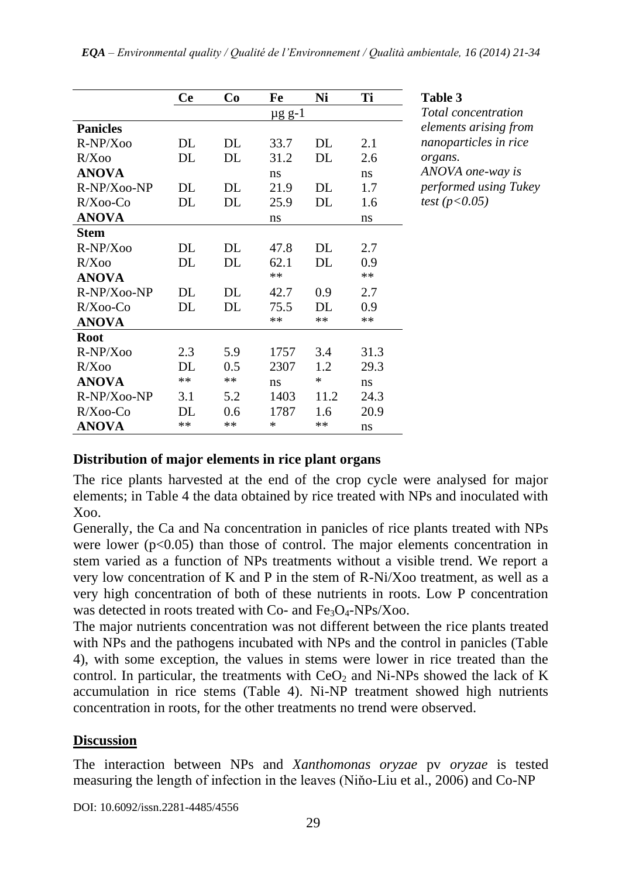|                 | Ce   | Co   | Fe            | Ni    | Ti   |
|-----------------|------|------|---------------|-------|------|
|                 |      |      | <u>µg g-1</u> |       |      |
| <b>Panicles</b> |      |      |               |       |      |
| $R-NP/Xoo$      | DL   | DL   | 33.7          | DL    | 2.1  |
| R/Xoo           | DL   | DL   | 31.2          | DL    | 2.6  |
| <b>ANOVA</b>    |      |      | ns            |       | ns   |
| R-NP/Xoo-NP     | DL.  | DL   | 21.9          | DL    | 1.7  |
| $R/X$ 00-Co     | DL   | DL   | 25.9          | DL    | 1.6  |
| <b>ANOVA</b>    |      |      | ns            |       | ns   |
| Stem            |      |      |               |       |      |
| $R-NP/Xoo$      | DL   | DL   | 47.8          | DL    | 2.7  |
| R/Xoo           | DL   | DL   | 62.1          | DL    | 0.9  |
| <b>ANOVA</b>    |      |      | $**$          |       | $**$ |
| $R-NP/Xoo-NP$   | DL   | DL   | 42.7          | 0.9   | 2.7  |
| $R/X$ 00-Co     | DL   | DL   | 75.5          | DL.   | 0.9  |
| <b>ANOVA</b>    |      |      | **            | $***$ | **   |
| Root            |      |      |               |       |      |
| $R-NP/Xoo$      | 2.3  | 5.9  | 1757          | 3.4   | 31.3 |
| R/Xoo           | DL   | 0.5  | 2307          | 1.2   | 29.3 |
| <b>ANOVA</b>    | $**$ | $**$ | ns            | *     | ns   |
| R-NP/X00-NP     | 3.1  | 5.2  | 1403          | 11.2  | 24.3 |
| $R/X$ 00-Co     | DL   | 0.6  | 1787          | 1.6   | 20.9 |
| ANOVA           | $**$ | $**$ | ∗             | $**$  | ns   |

**Ce Co Fe Ni Ti Table 3**

*Total concentration elements arising from nanoparticles in rice organs. ANOVA one-way is performed using Tukey test (p<0.05)*

#### **Distribution of major elements in rice plant organs**

The rice plants harvested at the end of the crop cycle were analysed for major elements; in Table 4 the data obtained by rice treated with NPs and inoculated with Xoo.

Generally, the Ca and Na concentration in panicles of rice plants treated with NPs were lower ( $p<0.05$ ) than those of control. The major elements concentration in stem varied as a function of NPs treatments without a visible trend. We report a very low concentration of K and P in the stem of R-Ni/Xoo treatment, as well as a very high concentration of both of these nutrients in roots. Low P concentration was detected in roots treated with Co- and  $Fe<sub>3</sub>O<sub>4</sub>$ -NPs/Xoo.

The major nutrients concentration was not different between the rice plants treated with NPs and the pathogens incubated with NPs and the control in panicles (Table 4), with some exception, the values in stems were lower in rice treated than the control. In particular, the treatments with  $CeO<sub>2</sub>$  and Ni-NPs showed the lack of K accumulation in rice stems (Table 4). Ni-NP treatment showed high nutrients concentration in roots, for the other treatments no trend were observed.

#### **Discussion**

The interaction between NPs and *Xanthomonas oryzae* pv *oryzae* is tested measuring the length of infection in the leaves (Niňo-Liu et al., 2006) and Co-NP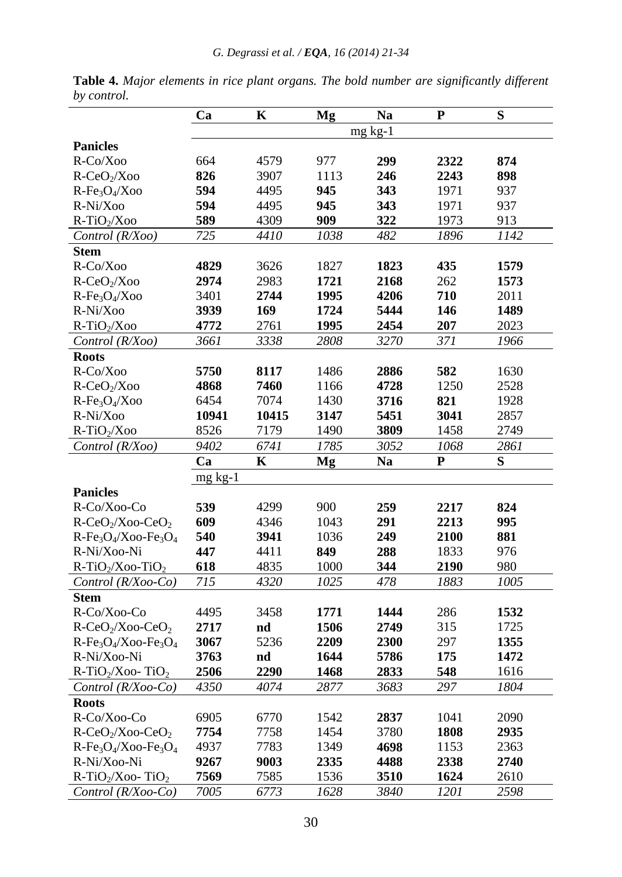|                                            | Ca           | $\mathbf K$  | Mg           | <b>Na</b>    | ${\bf P}$    | S            |
|--------------------------------------------|--------------|--------------|--------------|--------------|--------------|--------------|
|                                            |              |              |              | $mg$ kg-1    |              |              |
| <b>Panicles</b>                            |              |              |              |              |              |              |
| R-Co/Xoo                                   | 664          | 4579         | 977          | 299          | 2322         | 874          |
| $R-CeO2/Xoo$                               | 826          | 3907         | 1113         | 246          | 2243         | 898          |
| $R-Fe3O4/Xoo$                              | 594          | 4495         | 945          | 343          | 1971         | 937          |
| R-Ni/Xoo                                   | 594          | 4495         | 945          | 343          | 1971         | 937          |
| $R-TiO2/Xoo$                               | 589          | 4309         | 909          | 322          | 1973         | 913          |
| Control (R/Xoo)                            | 725          | 4410         | 1038         | 482          | 1896         | 1142         |
| <b>Stem</b>                                |              |              |              |              |              |              |
| R-Co/Xoo                                   | 4829         | 3626         | 1827         | 1823         | 435          | 1579         |
| R-CeO <sub>2</sub> /Xoo                    | 2974         | 2983         | 1721         | 2168         | 262          | 1573         |
| $R-Fe3O4/Xoo$                              | 3401         | 2744         | 1995         | 4206         | 710          | 2011         |
| R-Ni/Xoo                                   | 3939         | 169          | 1724         | 5444         | 146          | 1489         |
| $R-TiO2/Xoo$                               | 4772         | 2761         | 1995         | 2454         | 207          | 2023         |
| Control (R/Xoo)                            | 3661         | 3338         | 2808         | 3270         | 371          | 1966         |
| <b>Roots</b>                               |              |              |              |              |              |              |
| R-Co/Xoo                                   | 5750         | 8117         | 1486         | 2886         | 582          | 1630         |
| R-CeO <sub>2</sub> /Xoo                    | 4868         | 7460         | 1166         | 4728         | 1250         | 2528         |
| $R-Fe3O4/Xoo$                              | 6454         | 7074         | 1430         | 3716         | 821          | 1928         |
| R-Ni/Xoo                                   | 10941        | 10415        | 3147         | 5451         | 3041         | 2857         |
| $R-TiO2/Xoo$                               | 8526         | 7179         | 1490         | 3809         | 1458         | 2749         |
| Control (R/Xoo)                            | 9402         | 6741         | 1785         | 3052         | 1068         | 2861         |
|                                            | Ca           | K            | Mg           | <b>Na</b>    | P            | S            |
|                                            | $mg$ kg-1    |              |              |              |              |              |
| <b>Panicles</b>                            |              |              |              |              |              |              |
| R-Co/Xoo-Co                                | 539          | 4299         | 900          | 259          | 2217         | 824          |
| $R-CeO2/Xoo-CeO2$                          | 609          | 4346         | 1043         | 291          | 2213         | 995          |
|                                            |              |              |              |              | 2100         | 881          |
|                                            |              |              |              |              |              |              |
| $R-Fe3O4/Xoo-Fe3O4$                        | 540<br>447   | 3941         | 1036<br>849  | 249          |              |              |
| R-Ni/Xoo-Ni                                |              | 4411         | 1000         | 288          | 1833         | 976<br>980   |
| $R-TiO2/Xoo-TiO2$<br>Control $(R/Xoo$ -Co) | 618<br>715   | 4835<br>4320 | 1025         | 344<br>478   | 2190<br>1883 | 1005         |
|                                            |              |              |              |              |              |              |
| <b>Stem</b>                                |              | 3458         |              |              |              |              |
| R-Co/Xoo-Co                                | 4495         |              | 1771         | 1444         | 286          | 1532         |
| $R-CeO2/Xoo-CeO2$                          | 2717         | nd<br>5236   | 1506         | 2749         | 315          | 1725         |
| $R-Fe3O4/Xoo-Fe3O4$<br>R-Ni/Xoo-Ni         | 3067<br>3763 |              | 2209<br>1644 | 2300<br>5786 | 297<br>175   | 1355<br>1472 |
|                                            | 2506         | nd<br>2290   | 1468         | 2833         | 548          | 1616         |
| $R-TiO2/Xoo-TiO2$                          |              |              |              |              |              |              |
| Control (R/Xoo-Co)<br><b>Roots</b>         | 4350         | 4074         | 2877         | 3683         | 297          | 1804         |
| R-Co/Xoo-Co                                | 6905         | 6770         | 1542         | 2837         | 1041         | 2090         |
|                                            | 7754         |              |              |              |              |              |
| $R-CeO2/Xoo-CeO2$                          |              | 7758         | 1454<br>1349 | 3780<br>4698 | 1808         | 2935         |
| $R-Fe3O4/Xoo-Fe3O4$<br>R-Ni/Xoo-Ni         | 4937         | 7783         |              |              | 1153         | 2363         |
| $R-TiO2/Xoo-TiO2$                          | 9267<br>7569 | 9003<br>7585 | 2335<br>1536 | 4488<br>3510 | 2338<br>1624 | 2740<br>2610 |

**Table 4.** *Major elements in rice plant organs. The bold number are significantly different by control.*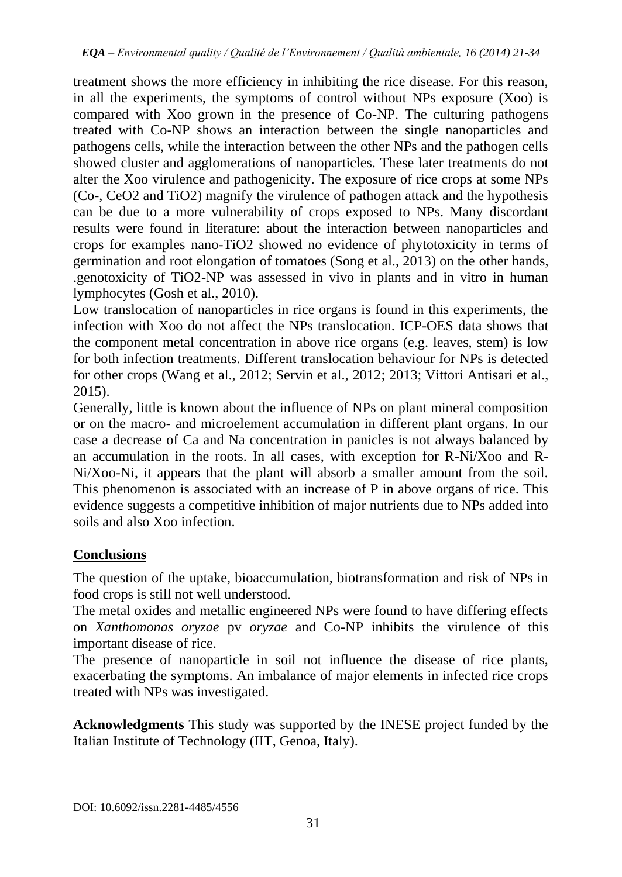treatment shows the more efficiency in inhibiting the rice disease. For this reason, in all the experiments, the symptoms of control without NPs exposure (Xoo) is compared with Xoo grown in the presence of Co-NP. The culturing pathogens treated with Co-NP shows an interaction between the single nanoparticles and pathogens cells, while the interaction between the other NPs and the pathogen cells showed cluster and agglomerations of nanoparticles. These later treatments do not alter the Xoo virulence and pathogenicity. The exposure of rice crops at some NPs (Co-, CeO2 and TiO2) magnify the virulence of pathogen attack and the hypothesis can be due to a more vulnerability of crops exposed to NPs. Many discordant results were found in literature: about the interaction between nanoparticles and crops for examples nano-TiO2 showed no evidence of phytotoxicity in terms of germination and root elongation of tomatoes (Song et al., 2013) on the other hands, .genotoxicity of TiO2-NP was assessed in vivo in plants and in vitro in human lymphocytes (Gosh et al., 2010).

Low translocation of nanoparticles in rice organs is found in this experiments, the infection with Xoo do not affect the NPs translocation. ICP-OES data shows that the component metal concentration in above rice organs (e.g. leaves, stem) is low for both infection treatments. Different translocation behaviour for NPs is detected for other crops (Wang et al., 2012; Servin et al., 2012; 2013; Vittori Antisari et al., 2015).

Generally, little is known about the influence of NPs on plant mineral composition or on the macro- and microelement accumulation in different plant organs. In our case a decrease of Ca and Na concentration in panicles is not always balanced by an accumulation in the roots. In all cases, with exception for R-Ni/Xoo and R-Ni/Xoo-Ni, it appears that the plant will absorb a smaller amount from the soil. This phenomenon is associated with an increase of P in above organs of rice. This evidence suggests a competitive inhibition of major nutrients due to NPs added into soils and also Xoo infection.

# **Conclusions**

The question of the uptake, bioaccumulation, biotransformation and risk of NPs in food crops is still not well understood.

The metal oxides and metallic engineered NPs were found to have differing effects on *Xanthomonas oryzae* pv *oryzae* and Co-NP inhibits the virulence of this important disease of rice.

The presence of nanoparticle in soil not influence the disease of rice plants, exacerbating the symptoms. An imbalance of major elements in infected rice crops treated with NPs was investigated.

**Acknowledgments** This study was supported by the INESE project funded by the Italian Institute of Technology (IIT, Genoa, Italy).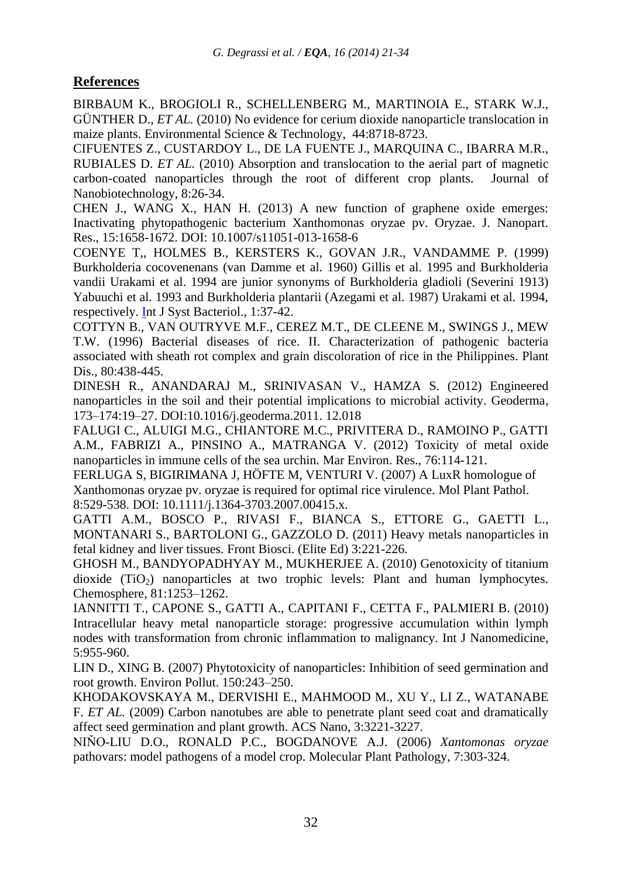## **References**

BIRBAUM K., BROGIOLI R., SCHELLENBERG M., MARTINOIA E., STARK W.J., GÜNTHER D., *ET AL.* (2010) No evidence for cerium dioxide nanoparticle translocation in maize plants. Environmental Science & Technology, 44:8718-8723.

CIFUENTES Z., CUSTARDOY L., DE LA FUENTE J., MARQUINA C., IBARRA M.R., RUBIALES D. *ET AL.* (2010) Absorption and translocation to the aerial part of magnetic carbon-coated nanoparticles through the root of different crop plants. Journal of Nanobiotechnology, 8:26-34.

CHEN J., WANG X., HAN H. (2013) A new function of graphene oxide emerges: Inactivating phytopathogenic bacterium Xanthomonas oryzae pv. Oryzae. J. Nanopart. Res., 15:1658-1672. DOI: 10.1007/s11051-013-1658-6

[COENYE T,](http://www.ncbi.nlm.nih.gov/pubmed?term=Coenye%20T%5BAuthor%5D&cauthor=true&cauthor_uid=10028245), [HOLMES B.](http://www.ncbi.nlm.nih.gov/pubmed?term=Holmes%20B%5BAuthor%5D&cauthor=true&cauthor_uid=10028245), [KERSTERS K.](http://www.ncbi.nlm.nih.gov/pubmed?term=Kersters%20K%5BAuthor%5D&cauthor=true&cauthor_uid=10028245), [GOVAN J.R.](http://www.ncbi.nlm.nih.gov/pubmed?term=Govan%20JR%5BAuthor%5D&cauthor=true&cauthor_uid=10028245), [VANDAMME P.](http://www.ncbi.nlm.nih.gov/pubmed?term=Vandamme%20P%5BAuthor%5D&cauthor=true&cauthor_uid=10028245) (1999) Burkholderia cocovenenans (van Damme et al. 1960) Gillis et al. 1995 and Burkholderia vandii Urakami et al. 1994 are junior synonyms of Burkholderia gladioli (Severini 1913) Yabuuchi et al. 1993 and Burkholderia plantarii (Azegami et al. 1987) Urakami et al. 1994, respectively. [Int J Syst Bacteriol.,](http://www.ncbi.nlm.nih.gov/pubmed?term=burkholderia%20plantarii%20azegami) 1:37-42.

COTTYN B., VAN OUTRYVE M.F., CEREZ M.T., DE CLEENE M., SWINGS J., MEW T.W. (1996) Bacterial diseases of rice. II. Characterization of pathogenic bacteria associated with sheath rot complex and grain discoloration of rice in the Philippines. Plant Dis., 80:438-445.

DINESH R., ANANDARAJ M., SRINIVASAN V., HAMZA S. (2012) Engineered nanoparticles in the soil and their potential implications to microbial activity. Geoderma, 173–174:19–27. DOI:10.1016/j.geoderma.2011. 12.018

FALUGI C., ALUIGI M.G., CHIANTORE M.C., PRIVITERA D., RAMOINO P., GATTI A.M., FABRIZI A., PINSINO A., MATRANGA V. (2012) [Toxicity of metal oxide](http://www.ncbi.nlm.nih.gov/pubmed/22104963)  [nanoparticles in immune cells of the sea urchin.](http://www.ncbi.nlm.nih.gov/pubmed/22104963) Mar Environ. Res., 76:114-121.

[FERLUGA S,](http://www.ncbi.nlm.nih.gov/pubmed?term=Ferluga%20S%5BAuthor%5D&cauthor=true&cauthor_uid=20507519) [BIGIRIMANA J,](http://www.ncbi.nlm.nih.gov/pubmed?term=Bigirimana%20J%5BAuthor%5D&cauthor=true&cauthor_uid=20507519) [HÖFTE M,](http://www.ncbi.nlm.nih.gov/pubmed?term=H%C3%B6fte%20M%5BAuthor%5D&cauthor=true&cauthor_uid=20507519) [VENTURI V.](http://www.ncbi.nlm.nih.gov/pubmed?term=Venturi%20V%5BAuthor%5D&cauthor=true&cauthor_uid=20507519) (2007) A LuxR homologue of Xanthomonas oryzae pv. oryzae is required for optimal rice virulence. [Mol Plant Pathol.](http://www.ncbi.nlm.nih.gov/pubmed/20507519) 8:529-538. DOI: 10.1111/j.1364-3703.2007.00415.x.

[GATTI A.M.](http://www.ncbi.nlm.nih.gov/pubmed?term=Gatti%20AM%5BAuthor%5D&cauthor=true&cauthor_uid=21196301), [BOSCO P.](http://www.ncbi.nlm.nih.gov/pubmed?term=Bosco%20P%5BAuthor%5D&cauthor=true&cauthor_uid=21196301), [RIVASI F.](http://www.ncbi.nlm.nih.gov/pubmed?term=Rivasi%20F%5BAuthor%5D&cauthor=true&cauthor_uid=21196301), [BIANCA S.](http://www.ncbi.nlm.nih.gov/pubmed?term=Bianca%20S%5BAuthor%5D&cauthor=true&cauthor_uid=21196301), [ETTORE G.,](http://www.ncbi.nlm.nih.gov/pubmed?term=Ettore%20G%5BAuthor%5D&cauthor=true&cauthor_uid=21196301) [GAETTI L.](http://www.ncbi.nlm.nih.gov/pubmed?term=Gaetti%20L%5BAuthor%5D&cauthor=true&cauthor_uid=21196301), [MONTANARI S.,](http://www.ncbi.nlm.nih.gov/pubmed?term=Montanari%20S%5BAuthor%5D&cauthor=true&cauthor_uid=21196301) [BARTOLONI G.,](http://www.ncbi.nlm.nih.gov/pubmed?term=Bartoloni%20G%5BAuthor%5D&cauthor=true&cauthor_uid=21196301) [GAZZOLO D.](http://www.ncbi.nlm.nih.gov/pubmed?term=Gazzolo%20D%5BAuthor%5D&cauthor=true&cauthor_uid=21196301) (2011) Heavy metals nanoparticles in fetal kidney and liver tissues. [Front Biosci.](http://www.ncbi.nlm.nih.gov/pubmed?term=gatti%202011%20fetal%20liver) (Elite Ed) 3:221-226.

GHOSH M., BANDYOPADHYAY M., MUKHERJEE A. (2010) Genotoxicity of titanium dioxide (TiO<sub>2</sub>) nanoparticles at two trophic levels: Plant and human lymphocytes. Chemosphere, 81:1253–1262.

[IANNITTI T.](http://www.ncbi.nlm.nih.gov/pubmed?term=Iannitti%20T%5BAuthor%5D&cauthor=true&cauthor_uid=21187947), [CAPONE S.](http://www.ncbi.nlm.nih.gov/pubmed?term=Capone%20S%5BAuthor%5D&cauthor=true&cauthor_uid=21187947), [GATTI A.](http://www.ncbi.nlm.nih.gov/pubmed?term=Gatti%20A%5BAuthor%5D&cauthor=true&cauthor_uid=21187947), [CAPITANI F.](http://www.ncbi.nlm.nih.gov/pubmed?term=Capitani%20F%5BAuthor%5D&cauthor=true&cauthor_uid=21187947), [CETTA F.](http://www.ncbi.nlm.nih.gov/pubmed?term=Cetta%20F%5BAuthor%5D&cauthor=true&cauthor_uid=21187947), [PALMIERI B.](http://www.ncbi.nlm.nih.gov/pubmed?term=Palmieri%20B%5BAuthor%5D&cauthor=true&cauthor_uid=21187947) (2010) Intracellular heavy metal nanoparticle storage: progressive accumulation within lymph nodes with transformation from chronic inflammation to malignancy. [Int J Nanomedicine,](http://www.ncbi.nlm.nih.gov/pubmed?term=iannitti%20nanoparticle) 5:955-960.

LIN D., XING B. (2007) Phytotoxicity of nanoparticles: Inhibition of seed germination and root growth. Environ Pollut. 150:243–250.

KHODAKOVSKAYA M., DERVISHI E., MAHMOOD M., XU Y., LI Z., WATANABE F. *ET AL.* (2009) Carbon nanotubes are able to penetrate plant seed coat and dramatically affect seed germination and plant growth. ACS Nano, 3:3221-3227.

NIŇO-LIU D.O., RONALD P.C., BOGDANOVE A.J. (2006) *Xantomonas oryzae* pathovars: model pathogens of a model crop. Molecular Plant Pathology, 7:303-324.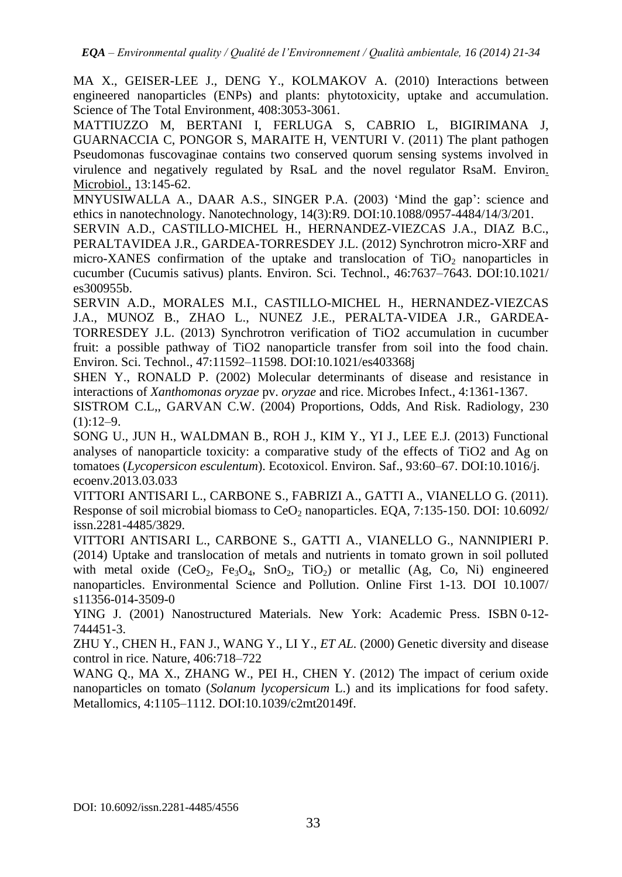MA X., GEISER-LEE J., DENG Y., KOLMAKOV A. (2010) Interactions between engineered nanoparticles (ENPs) and plants: phytotoxicity, uptake and accumulation. Science of The Total Environment, 408:3053-3061.

[MATTIUZZO M,](http://www.ncbi.nlm.nih.gov/pubmed?term=Mattiuzzo%20M%5BAuthor%5D&cauthor=true&cauthor_uid=20701623) [BERTANI I,](http://www.ncbi.nlm.nih.gov/pubmed?term=Bertani%20I%5BAuthor%5D&cauthor=true&cauthor_uid=20701623) [FERLUGA S,](http://www.ncbi.nlm.nih.gov/pubmed?term=Ferluga%20S%5BAuthor%5D&cauthor=true&cauthor_uid=20701623) [CABRIO L,](http://www.ncbi.nlm.nih.gov/pubmed?term=Cabrio%20L%5BAuthor%5D&cauthor=true&cauthor_uid=20701623) [BIGIRIMANA J,](http://www.ncbi.nlm.nih.gov/pubmed?term=Bigirimana%20J%5BAuthor%5D&cauthor=true&cauthor_uid=20701623) [GUARNACCIA C,](http://www.ncbi.nlm.nih.gov/pubmed?term=Guarnaccia%20C%5BAuthor%5D&cauthor=true&cauthor_uid=20701623) [PONGOR S,](http://www.ncbi.nlm.nih.gov/pubmed?term=Pongor%20S%5BAuthor%5D&cauthor=true&cauthor_uid=20701623) [MARAITE H,](http://www.ncbi.nlm.nih.gov/pubmed?term=Maraite%20H%5BAuthor%5D&cauthor=true&cauthor_uid=20701623) [VENTURI V.](http://www.ncbi.nlm.nih.gov/pubmed?term=Venturi%20V%5BAuthor%5D&cauthor=true&cauthor_uid=20701623) (2011) The plant pathogen Pseudomonas fuscovaginae contains two conserved quorum sensing systems involved in virulence and negatively regulated by RsaL and the novel regulator RsaM. [Environ.](http://www.ncbi.nlm.nih.gov/pubmed?term=pseudomonas%20fuscovaginae%20mattiuzzo) [Microbiol.,](http://www.ncbi.nlm.nih.gov/pubmed?term=pseudomonas%20fuscovaginae%20mattiuzzo) 13:145-62.

MNYUSIWALLA A., DAAR A.S., SINGER P.A. (2003) "Mind the gap": science and ethics in nanotechnology. Nanotechnology, 14(3):R9. [DOI](http://en.wikipedia.org/wiki/Digital_object_identifier)[:10.1088/0957-4484/14/3/201.](http://dx.doi.org/10.1088%2F0957-4484%2F14%2F3%2F201)

SERVIN A.D., CASTILLO-MICHEL H., HERNANDEZ-VIEZCAS J.A., DIAZ B.C., PERALTAVIDEA J.R., GARDEA-TORRESDEY J.L. (2012) Synchrotron micro-XRF and micro-XANES confirmation of the uptake and translocation of  $TiO<sub>2</sub>$  nanoparticles in cucumber (Cucumis sativus) plants. Environ. Sci. Technol., 46:7637–7643. DOI:10.1021/ es300955b.

SERVIN A.D., MORALES M.I., CASTILLO-MICHEL H., HERNANDEZ-VIEZCAS J.A., MUNOZ B., ZHAO L., NUNEZ J.E., PERALTA-VIDEA J.R., GARDEA-TORRESDEY J.L. (2013) Synchrotron verification of TiO2 accumulation in cucumber fruit: a possible pathway of TiO2 nanoparticle transfer from soil into the food chain. Environ. Sci. Technol., 47:11592–11598. DOI:10.1021/es403368j

SHEN Y., RONALD P. (2002) Molecular determinants of disease and resistance in interactions of *Xanthomonas oryzae* pv. *oryzae* and rice. Microbes Infect., 4:1361-1367.

SISTROM C.L,, GARVAN C.W. (2004) Proportions, Odds, And Risk. Radiology, 230  $(1):12-9.$ 

SONG U., JUN H., WALDMAN B., ROH J., KIM Y., YI J., LEE E.J. (2013) Functional analyses of nanoparticle toxicity: a comparative study of the effects of TiO2 and Ag on tomatoes (*Lycopersicon esculentum*). Ecotoxicol. Environ. Saf., 93:60–67. DOI:10.1016/j. ecoenv.2013.03.033

VITTORI ANTISARI L., CARBONE S., FABRIZI A., GATTI A., VIANELLO G. (2011). Response of soil microbial biomass to  $CeO<sub>2</sub>$  nanoparticles. EQA, 7:135-150. DOI: [10.6092/](http://dx.doi.org/10.6092/issn.2281-4485/3829) [issn.2281-4485/3829.](http://dx.doi.org/10.6092/issn.2281-4485/3829)

VITTORI ANTISARI L., CARBONE S., GATTI A., VIANELLO G., NANNIPIERI P. (2014) Uptake and translocation of metals and nutrients in tomato grown in soil polluted with metal oxide (CeO<sub>2</sub>, Fe<sub>3</sub>O<sub>4</sub>, SnO<sub>2</sub>, TiO<sub>2</sub>) or metallic (Ag, Co, Ni) engineered nanoparticles. Environmental Science and Pollution. Online First 1-13. DOI 10.1007/ s11356-014-3509-0

YING J. (2001) [Nanostructured Materials.](http://books.google.com/?id=_pbtbJwkj5YC&printsec=frontcover) New York: Academic Press. [ISBN](http://en.wikipedia.org/wiki/International_Standard_Book_Number) [0-12-](http://en.wikipedia.org/wiki/Special:BookSources/0-12-744451-3) [744451-3.](http://en.wikipedia.org/wiki/Special:BookSources/0-12-744451-3)

ZHU Y., CHEN H., FAN J., WANG Y., LI Y., *ET AL.* (2000) Genetic diversity and disease control in rice. Nature, 406:718–722

WANG Q., MA X., ZHANG W., PEI H., CHEN Y. (2012) The impact of cerium oxide nanoparticles on tomato (*Solanum lycopersicum* L.) and its implications for food safety. Metallomics, 4:1105–1112. DOI:10.1039/c2mt20149f.